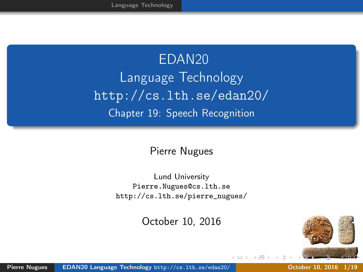<span id="page-0-0"></span>EDAN20 Language Technology <http://cs.lth.se/edan20/> Chapter 19: Speech Recognition

#### Pierre Nugues

Lund University <Pierre.Nugues@cs.lth.se> [http://cs.lth.se/pierre\\_nugues/](http://cs.lth.se/pierre_nugues/)

October 10, 2016

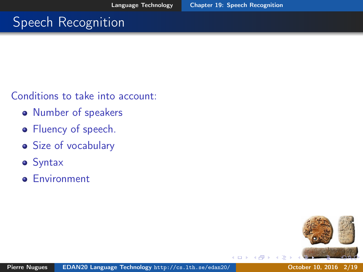# <span id="page-1-0"></span>**Speech Recognition**

Conditions to take into account:

- Number of speakers
- Fluency of speech.
- Size of vocabulary
- Syntax
- **e** Environment

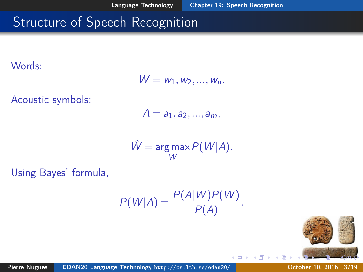$\leftarrow$ 

# Structure of Speech Recognition

Words:

$$
W = w_1, w_2, \ldots, w_n.
$$

Acoustic symbols:

$$
A=a_1,a_2,...,a_m,
$$

$$
\hat{W} = \underset{W}{\arg\max} P(W|A).
$$

Using Bayes' formula,

$$
P(W|A) = \frac{P(A|W)P(W)}{P(A)}.
$$

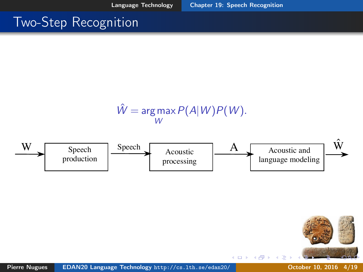4 0 3

### Two-Step Recognition

$$
\hat{W} = \underset{W}{\arg \max} P(A|W)P(W).
$$



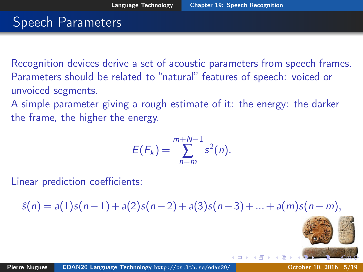#### Speech Parameters

Recognition devices derive a set of acoustic parameters from speech frames. Parameters should be related to "natural" features of speech: voiced or unvoiced segments.

A simple parameter giving a rough estimate of it: the energy: the darker the frame, the higher the energy.

$$
E(F_k)=\sum_{n=m}^{m+N-1}s^2(n).
$$

Linear prediction coefficients:

 $\hat{s}(n) = a(1)s(n-1) + a(2)s(n-2) + a(3)s(n-3) + ... + a(m)s(n-m),$ 

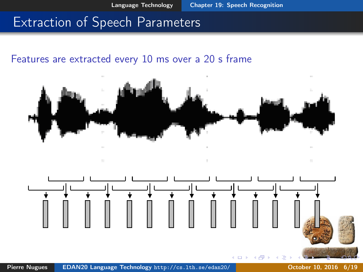#### Extraction of Speech Parameters

#### Features are extracted every 10 ms over a 20 s frame

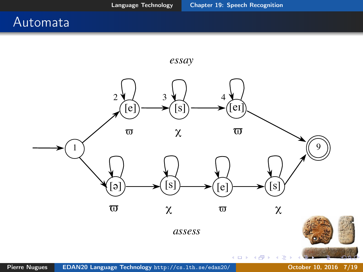#### Automata

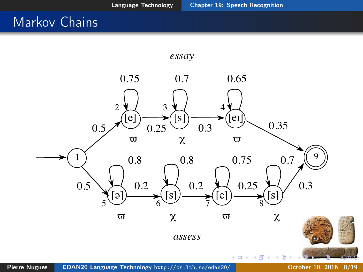#### Markov Chains

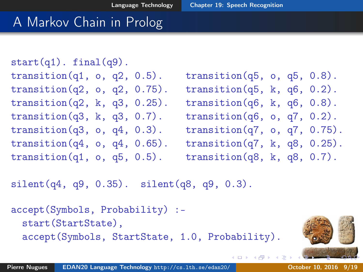### A Markov Chain in Prolog

```
start(q1). final(q9).
transition(q1, \circ, q2, 0.5). transition(q5, \circ, q5, 0.8).
transition(q2, \circ, q2, 0.75). transition(q5, k, q6, 0.2).
transition(q2, k, q3, 0.25). transition(q6, k, q6, 0.8).
transition(q3, k, q3, 0.7). transition(q6, o, q7, 0.2).
transition(q3, \circ, q4, 0.3). transition(q7, \circ, q7, 0.75).
transition(q4, o, q4, 0.65). transition(q7, k, q8, 0.25).
transition(q1, 0, q5, 0.5). transition(q8, k, q8, 0.7).
```
4 ロ → 4 伊

silent(q4, q9, 0.35). silent(q8, q9, 0.3).

```
accept(Symbols, Probability) :-
  start(StartState),
  accept(Symbols, StartState, 1.0, Probability).
```
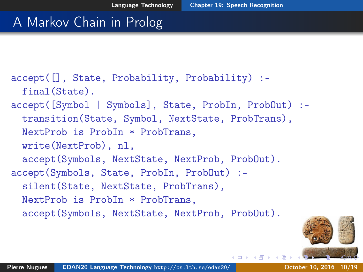# A Markov Chain in Prolog

```
accept([], State, Probability, Probability) :-
  final(State).
accept([Symbol | Symbols], State, ProbIn, ProbOut) :-
  transition(State, Symbol, NextState, ProbTrans),
  NextProb is ProbIn * ProbTrans.
  write(NextProb), nl,
  accept(Symbols, NextState, NextProb, ProbOut).
accept(Symbols, State, ProbIn, ProbOut) :-
  silent(State, NextState, ProbTrans),
  NextProb is ProbIn * ProbTrans,
  accept(Symbols, NextState, NextProb, ProbOut).
```
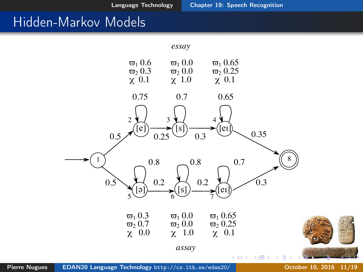#### Hidden-Markov Models

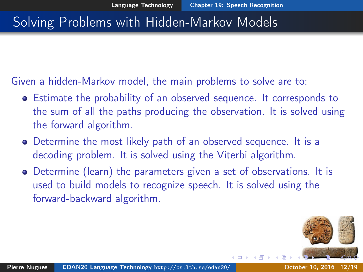# Solving Problems with Hidden-Markov Models

Given a hidden-Markov model, the main problems to solve are to:

- Estimate the probability of an observed sequence. It corresponds to the sum of all the paths producing the observation. It is solved using the forward algorithm.
- Determine the most likely path of an observed sequence. It is a decoding problem. It is solved using the Viterbi algorithm.
- Determine (learn) the parameters given a set of observations. It is used to build models to recognize speech. It is solved using the forward-backward algorithm.

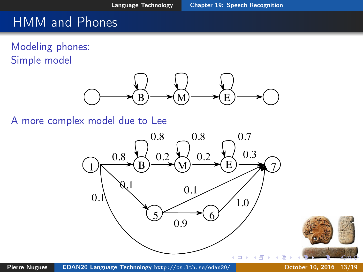## HMM and Phones

Modeling phones: Simple model



A more complex model due to Lee



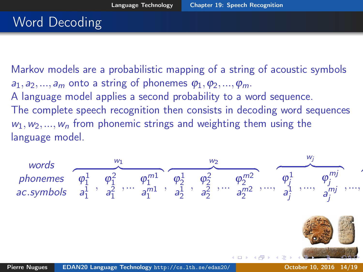# Word Decoding

Markov models are a probabilistic mapping of a string of acoustic symbols  $a_1, a_2, ..., a_m$  onto a string of phonemes  $\varphi_1, \varphi_2, ..., \varphi_m$ . A language model applies a second probability to a word sequence. The complete speech recognition then consists in decoding word sequences  $w_1, w_2, ..., w_n$  from phonemic strings and weighting them using the language model.

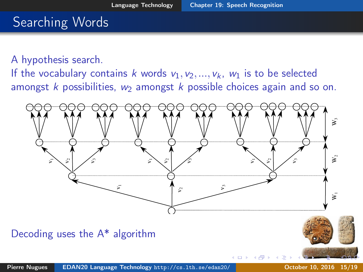## Searching Words

A hypothesis search.

If the vocabulary contains k words  $v_1, v_2, ..., v_k$ ,  $w_1$  is to be selected amongst k possibilities,  $w_2$  amongst k possible choices again and so on.

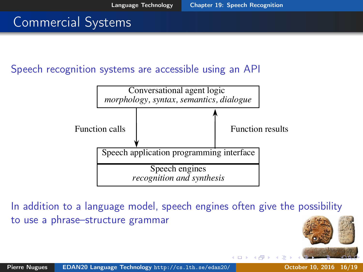## Commercial Systems

Speech recognition systems are accessible using an API



In addition to a language model, speech engines often give the possibility to use a phrase–structure grammar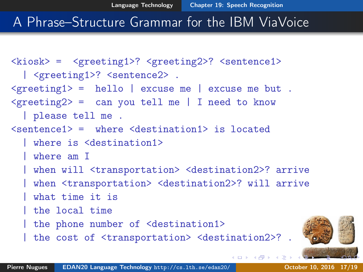#### A Phrase–Structure Grammar for the IBM ViaVoice

```
<kiosk> = <greeting1>? <greeting2>? <sentence1>
  | <greeting1>? <sentence2>.
\langle \text{greeting1} \rangle = hello | excuse me | excuse me but .
\langle \text{greeting2} \rangle = can you tell me | I need to know
  | please tell me .
\text{Sentenced} > = where \text{Cdestination1} > is located
  | where is <destination1>
  | where am I
  | when will <transportation> <destination2>? arrive
  | when <transportation> <destination2>? will arrive
  | what time it is
  | the local time
  | the phone number of <destination1>
    the cost of \langletransportation> \langle destination2>? .
```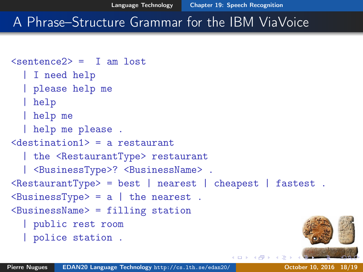# A Phrase–Structure Grammar for the IBM ViaVoice

```
\langlesentence\langle 2 \rangle = T am lost
  | I need help
  | please help me
  | help
  | help me
  | help me please .
<destination1> = a restaurant
  | the <RestaurantType> restaurant
  | <BusinessType>? <BusinessName> .
\kappa <RestaurantType> = best | nearest | cheapest | fastest .
\langleBusinessType> = a | the nearest.
<sub>BusinesName</sub> = filling station</sub>
  | public rest room
  | police station .
```